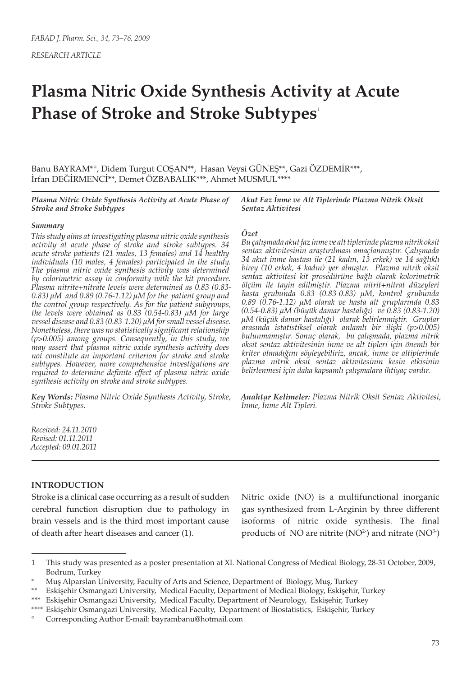*RESEARCH ARTICLE*

# **Plasma Nitric Oxide Synthesis Activity at Acute Phase of Stroke and Stroke Subtypes**<sup>1</sup>

Banu BAYRAM\*°, Didem Turgut COŞAN\*\*, Hasan Veysi GÜNEŞ\*\*, Gazi ÖZDEMİR\*\*\*, İrfan DEĞİRMENCİ\*\*, Demet ÖZBABALIK\*\*\*, Ahmet MUSMUL\*\*\*\*

*Plasma Nitric Oxide Synthesis Activity at Acute Phase of Stroke and Stroke Subtypes*

### *Summary*

*This study aims at investigating plasma nitric oxide synthesis activity at acute phase of stroke and stroke subtypes. 34 acute stroke patients (21 males, 13 females) and 14 healthy individuals (10 males, 4 females) participated in the study. The plasma nitric oxide synthesis activity was determined by colorimetric assay in conformity with the kit procedure. Plasma nitrite+nitrate levels were determined as 0.83 (0.83- 0.83) μM and 0.89 (0.76-1.12) μM for the patient group and the control group respectively. As for the patient subgroups, the levels were obtained as 0.83 (0.54-0.83) μM for large vessel disease and 0.83 (0.83-1.20) μM for small vessel disease. Nonetheless, there was no statistically significant relationship (p>0.005) among groups. Consequently, in this study, we may assert that plasma nitric oxide synthesis activity does not constitute an important criterion for stroke and stroke subtypes. However, more comprehensive investigations are required to determine definite effect of plasma nitric oxide synthesis activity on stroke and stroke subtypes.*

*Key Words: Plasma Nitric Oxide Synthesis Activity, Stroke, Stroke Subtypes.*

*Akut Faz İnme ve Alt Tiplerinde Plazma Nitrik Oksit Sentaz Aktivitesi*

#### *Özet*

*Bu çalışmada akut faz inme ve alt tiplerinde plazma nitrik oksit sentaz aktivitesinin araştırılması amaçlanmıştır. Çalışmada 34 akut inme hastası ile (21 kadın, 13 erkek) ve 14 sağlıklı birey (10 erkek, 4 kadın) yer almıştır. Plazma nitrik oksit sentaz aktivitesi kit prosedürüne bağlı olarak kolorimetrik ölçüm ile tayin edilmiştir. Plazma nitrit+nitrat düzeyleri hasta grubunda 0.83 (0.83-0.83) μM, kontrol grubunda 0.89 (0.76-1.12) μM olarak ve hasta alt gruplarında 0.83 (0.54-0.83) μM (büyük damar hastalığı) ve 0.83 (0.83-1.20) μM (küçük damar hastalığı) olarak belirlenmiştir. Gruplar arasında istatistiksel olarak anlamlı bir ilişki (p>0.005) bulunmamıştır. Sonuç olarak, bu çalışmada, plazma nitrik oksit sentaz aktivitesinin inme ve alt tipleri için önemli bir kriter olmadığını söyleyebiliriz, ancak, inme ve altiplerinde plazma nitrik oksit sentaz aktivitesinin kesin etkisinin belirlenmesi için daha kapsamlı çalışmalara ihtiyaç vardır.* 

*Anahtar Kelimeler: Plazma Nitrik Oksit Sentaz Aktivitesi, İnme, İnme Alt Tipleri.*

*Received: 24.11.2010 Revised: 01.11.2011 Accepted: 09.01.2011*

## **INTRODUCTION**

Stroke is a clinical case occurring as a result of sudden cerebral function disruption due to pathology in brain vessels and is the third most important cause of death after heart diseases and cancer (1).

Nitric oxide (NO) is a multifunctional inorganic gas synthesized from L-Arginin by three different isoforms of nitric oxide synthesis. The final products of NO are nitrite  $(NO<sup>2</sup>)$  and nitrate  $(NO<sup>3</sup>)$ 

<sup>1</sup> This study was presented as a poster presentation at XI. National Congress of Medical Biology, 28-31 October, 2009, Bodrum, Turkey

<sup>\*</sup> Muş Alparslan University, Faculty of Arts and Science, Department of Biology, Muş, Turkey

<sup>\*\*</sup> Eskişehir Osmangazi University, Medical Faculty, Department of Medical Biology, Eskişehir, Turkey

<sup>\*\*\*</sup> Eskişehir Osmangazi University, Medical Faculty, Department of Neurology, Eskişehir, Turkey

<sup>\*\*\*\*</sup> Eskişehir Osmangazi University, Medical Faculty, Department of Biostatistics, Eskişehir, Turkey

<sup>°</sup> Corresponding Author E-mail: bayrambanu@hotmail.com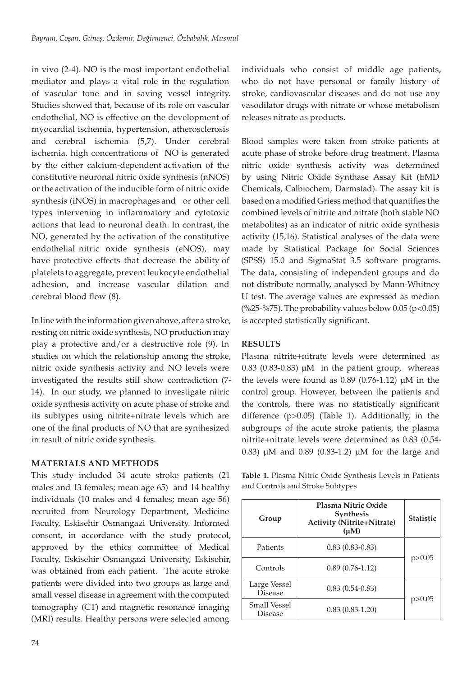in vivo (2-4). NO is the most important endothelial mediator and plays a vital role in the regulation of vascular tone and in saving vessel integrity. Studies showed that, because of its role on vascular endothelial, NO is effective on the development of myocardial ischemia, hypertension, atherosclerosis and cerebral ischemia (5,7). Under cerebral ischemia, high concentrations of NO is generated by the either calcium-dependent activation of the constitutive neuronal nitric oxide synthesis (nNOS) or the activation of the inducible form of nitric oxide synthesis (iNOS) in macrophages and or other cell types intervening in inflammatory and cytotoxic actions that lead to neuronal death. In contrast, the NO, generated by the activation of the constitutive endothelial nitric oxide synthesis (eNOS), may have protective effects that decrease the ability of platelets to aggregate, prevent leukocyte endothelial adhesion, and increase vascular dilation and cerebral blood flow (8).

In line with the information given above, after a stroke, resting on nitric oxide synthesis, NO production may play a protective and/or a destructive role (9). In studies on which the relationship among the stroke, nitric oxide synthesis activity and NO levels were investigated the results still show contradiction (7- 14). In our study, we planned to investigate nitric oxide synthesis activity on acute phase of stroke and its subtypes using nitrite+nitrate levels which are one of the final products of NO that are synthesized in result of nitric oxide synthesis.

# **MATERIALS AND METHODS**

This study included 34 acute stroke patients (21 males and 13 females; mean age 65) and 14 healthy individuals (10 males and 4 females; mean age 56) recruited from Neurology Department, Medicine Faculty, Eskisehir Osmangazi University. Informed consent, in accordance with the study protocol, approved by the ethics committee of Medical Faculty, Eskisehir Osmangazi University, Eskisehir, was obtained from each patient. The acute stroke patients were divided into two groups as large and small vessel disease in agreement with the computed tomography (CT) and magnetic resonance imaging (MRI) results. Healthy persons were selected among

individuals who consist of middle age patients, who do not have personal or family history of stroke, cardiovascular diseases and do not use any vasodilator drugs with nitrate or whose metabolism releases nitrate as products.

Blood samples were taken from stroke patients at acute phase of stroke before drug treatment. Plasma nitric oxide synthesis activity was determined by using Nitric Oxide Synthase Assay Kit (EMD Chemicals, Calbiochem, Darmstad). The assay kit is based on a modified Griess method that quantifies the combined levels of nitrite and nitrate (both stable NO metabolites) as an indicator of nitric oxide synthesis activity (15,16). Statistical analyses of the data were made by Statistical Package for Social Sciences (SPSS) 15.0 and SigmaStat 3.5 software programs. The data, consisting of independent groups and do not distribute normally, analysed by Mann-Whitney U test. The average values are expressed as median (%25-%75). The probability values below  $0.05$  (p<0.05) is accepted statistically significant.

# **RESULTS**

Plasma nitrite+nitrate levels were determined as 0.83 (0.83-0.83) μM in the patient group, whereas the levels were found as 0.89 (0.76-1.12) μM in the control group. However, between the patients and the controls, there was no statistically significant difference (p>0.05) (Table 1). Additionally, in the subgroups of the acute stroke patients, the plasma nitrite+nitrate levels were determined as 0.83 (0.54- 0.83) μM and 0.89 (0.83-1.2) μM for the large and

**Table 1.** Plasma Nitric Oxide Synthesis Levels in Patients and Controls and Stroke Subtypes

| Group                                 | Plasma Nitric Oxide<br><b>Synthesis</b><br><b>Activity (Nitrite+Nitrate)</b><br>$(\mu M)$ | <b>Statistic</b> |
|---------------------------------------|-------------------------------------------------------------------------------------------|------------------|
| Patients                              | $0.83(0.83-0.83)$                                                                         | p > 0.05         |
| Controls                              | $0.89(0.76-1.12)$                                                                         |                  |
| Large Vessel<br><b>Disease</b>        | $0.83(0.54-0.83)$                                                                         | p > 0.05         |
| <b>Small Vessel</b><br><b>Disease</b> | $0.83(0.83-1.20)$                                                                         |                  |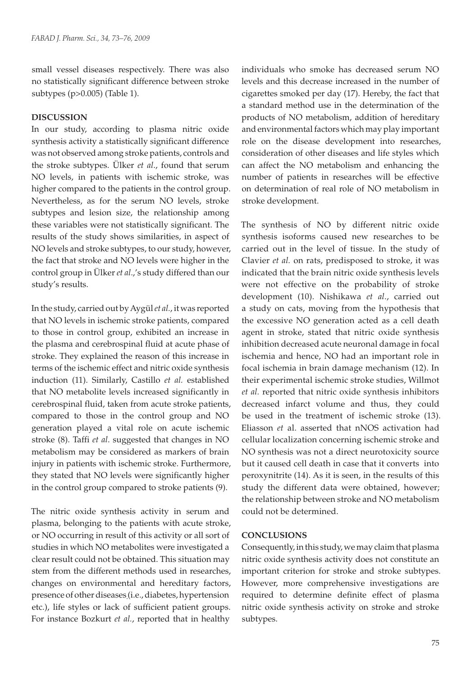small vessel diseases respectively. There was also no statistically significant difference between stroke subtypes (p>0.005) (Table 1).

# **DISCUSSION**

In our study, according to plasma nitric oxide synthesis activity a statistically significant difference was not observed among stroke patients, controls and the stroke subtypes. Ülker *et al*., found that serum NO levels, in patients with ischemic stroke, was higher compared to the patients in the control group. Nevertheless, as for the serum NO levels, stroke subtypes and lesion size, the relationship among these variables were not statistically significant. The results of the study shows similarities, in aspect of NO levels and stroke subtypes, to our study, however, the fact that stroke and NO levels were higher in the control group in Ülker *et al*.,'s study differed than our study's results.

In the study, carried out by Aygül *et al.*, it was reported that NO levels in ischemic stroke patients, compared to those in control group, exhibited an increase in the plasma and cerebrospinal fluid at acute phase of stroke. They explained the reason of this increase in terms of the ischemic effect and nitric oxide synthesis induction (11). Similarly, Castillo *et al.* established that NO metabolite levels increased significantly in cerebrospinal fluid, taken from acute stroke patients, compared to those in the control group and NO generation played a vital role on acute ischemic stroke (8). Taffi *et al*. suggested that changes in NO metabolism may be considered as markers of brain injury in patients with ischemic stroke. Furthermore, they stated that NO levels were significantly higher in the control group compared to stroke patients (9).

The nitric oxide synthesis activity in serum and plasma, belonging to the patients with acute stroke, or NO occurring in result of this activity or all sort of studies in which NO metabolites were investigated a clear result could not be obtained. This situation may stem from the different methods used in researches, changes on environmental and hereditary factors, presence of other diseases (i.e., diabetes, hypertension etc.), life styles or lack of sufficient patient groups. For instance Bozkurt *et al.*, reported that in healthy

individuals who smoke has decreased serum NO levels and this decrease increased in the number of cigarettes smoked per day (17). Hereby, the fact that a standard method use in the determination of the products of NO metabolism, addition of hereditary and environmental factors which may play important role on the disease development into researches, consideration of other diseases and life styles which can affect the NO metabolism and enhancing the number of patients in researches will be effective on determination of real role of NO metabolism in stroke development.

The synthesis of NO by different nitric oxide synthesis isoforms caused new researches to be carried out in the level of tissue. In the study of Clavier *et al.* on rats, predisposed to stroke, it was indicated that the brain nitric oxide synthesis levels were not effective on the probability of stroke development (10). Nishikawa *et al*., carried out a study on cats, moving from the hypothesis that the excessive NO generation acted as a cell death agent in stroke, stated that nitric oxide synthesis inhibition decreased acute neuronal damage in focal ischemia and hence, NO had an important role in focal ischemia in brain damage mechanism (12). In their experimental ischemic stroke studies, Willmot *et al.* reported that nitric oxide synthesis inhibitors decreased infarct volume and thus, they could be used in the treatment of ischemic stroke (13). Eliasson *et* al. asserted that nNOS activation had cellular localization concerning ischemic stroke and NO synthesis was not a direct neurotoxicity source but it caused cell death in case that it converts into peroxynitrite (14). As it is seen, in the results of this study the different data were obtained, however; the relationship between stroke and NO metabolism could not be determined.

## **CONCLUSIONS**

Consequently, in this study, we may claim that plasma nitric oxide synthesis activity does not constitute an important criterion for stroke and stroke subtypes. However, more comprehensive investigations are required to determine definite effect of plasma nitric oxide synthesis activity on stroke and stroke subtypes.